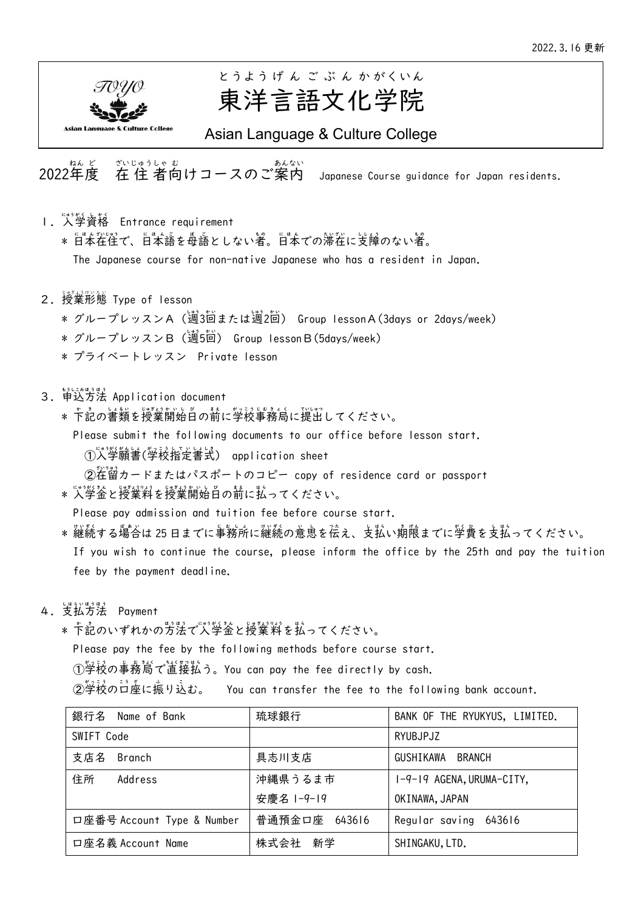

# 東洋言語文化学院 とうよう げ ん ご ぶ ん か がくいん

Asian Language & Culture College

。。。。。。。<br>2022年度 ざいじゅうしゃ む<br>在 住 者向けコースのご案内 Japanese Course guidance for Japan residents.

- l. 人学資格 Entrance requirement \* 日本往往で、日本語を長語としない著。日本での滞在に支障のない者。 The Japanese course for non-native Japanese who has a resident in Japan.
- 2. 授業形態 Type of lesson
	- \* グループレッスンA(適3茴または適2茴) Group IessonA(3days or 2days/week)
	- \* グループレッスンB(週5回) Group lessonB(5days/week)
	- \* プライベートレッスン Private lesson
- 3. 单込方法 Application document
	- \* 卞記の書類を授業開始自の葥に学校事務局に提出してください。
		- Please submit the following documents to our office before lesson start.
- ①入学願訔(学校指定書式) application sheet
- ②<sup>茫"</sup>鉊カードまたはパスポートのコピー copy of residence card or passport
	- \* 人学釜と授業料を授業開始自の葥に払ってください。

Please pay admission and tuition fee before course start.

- \* 継続する場合は 25 日までに事務所に継続の意恵を従え、支払い期限までに学費を支払ってください。 If you wish to continue the course, please inform the office by the 25th and pay the tuition fee by the payment deadline.
- 4. 支払方法 Payment
- \* 卞記のいずれかの方法で、、、学釜と授業料を払ってください。

Please pay the fee by the following methods before course start.

①学校の事務嵩で道接払う。You can pay the fee directly by cash.

②學祕のコà座に振り込む。 You can transfer the fee to the following bank account.

| 銀行名 Name of Bank           | 琉球銀行          | BANK OF THE RYUKYUS, LIMITED. |
|----------------------------|---------------|-------------------------------|
| SWIFT Code                 |               | RYUBJPJZ                      |
| 支店名<br>Branch              | 具志川支店         | GUSHIKAWA<br>BRANCH           |
| 住所<br>Address              | 沖縄県うるま市       | I-9-19 AGENA, URUMA-CITY,     |
|                            | 安慶名 1-9-19    | OKINAWA, JAPAN                |
| 口座番号 Account Type & Number | 普通預金口座 643616 | Regular saving 643616         |
| 口座名義 Account Name          | 株式会社 新学       | SHINGAKU, LTD.                |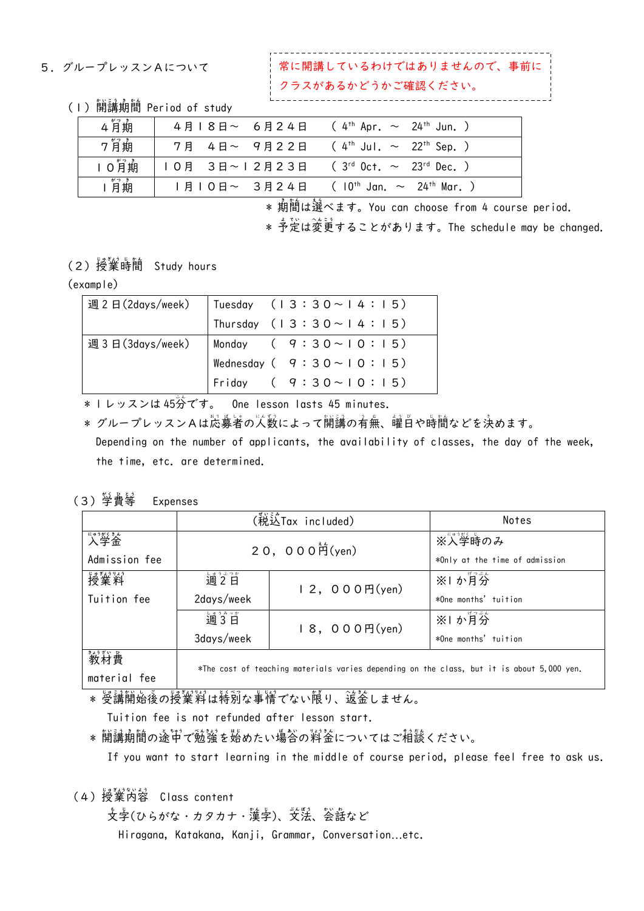#### 5.グループレッスンAについて

いるわけではありませんので、事前に クラスがあるかどうかご確認ください。

(I)開講期間 Period of study

| 4月期  | 4月18日~ 6月24日 ( 4 <sup>th</sup> Apr. ~ 24 <sup>th</sup> Jun. )   |                                                 |
|------|-----------------------------------------------------------------|-------------------------------------------------|
| 7月期  | 7月 4日~ 9月22日 ( 4 <sup>th</sup> Jul. ~ 22 <sup>th</sup> Sep. )   |                                                 |
| 10消期 | Ⅰ O 月 3日~12月23日 (3 <sup>rd</sup> Oct. ~ 23 <sup>rd</sup> Dec. ) |                                                 |
| 消期   | 月 0日~ 3月24日                                                     | ( $10^{th}$ Jan. $\sim$ 24 <sup>th</sup> Mar. ) |

\* 期間は選べます。You can choose from 4 course period.

\* 予定は変更することがあります。The schedule may be changed.

(2)授嶪時簡 Study hours

### (example)

| 週2日(2days/week) | Tuesday $(13:30 \sim 14:15)$    |
|-----------------|---------------------------------|
|                 | Thursday $(13:30 \sim 14:15)$   |
| 週3日(3days/week) | Monday ( $9:30 \sim 10:15$ )    |
|                 | Wednesday ( $9:30 \sim 10:15$ ) |
|                 | 'Friday $(9:30 \sim 10:15)$     |

\* | レッスンは 45労 One lesson lasts 45 minutes.

> \* グループレッスンAは芯募者の人数によって開講の有無、醒白や時間などを決めます。 Depending on the number of applicants, the availability of classes, the day of the week, the time, etc. are determined.

#### (3) 学費等 Expenses

|               |            | (税込Tax included)                                                                          | Notes                          |  |  |  |  |  |
|---------------|------------|-------------------------------------------------------------------------------------------|--------------------------------|--|--|--|--|--|
| "》"学釜         |            | 20, 000 $\hat{H}$ (yen)                                                                   | ※人学時のみ                         |  |  |  |  |  |
| Admission fee |            |                                                                                           | *Only at the time of admission |  |  |  |  |  |
| 授業料           | 週2日        | 12,000H(yen)                                                                              | ※1 か月分                         |  |  |  |  |  |
| Tuition fee   | 2days/week |                                                                                           | *One months' tuition           |  |  |  |  |  |
|               | 週3日        | 18, 000円(yen)                                                                             | ※1 か月分                         |  |  |  |  |  |
|               | 3days/week |                                                                                           | *One months' tuition           |  |  |  |  |  |
| 教材費           |            |                                                                                           |                                |  |  |  |  |  |
| material fee  |            | *The cost of teaching materials varies depending on the class, but it is about 5,000 yen. |                                |  |  |  |  |  |

\* 受講開始後の授業料は特別な事情でない限り、逡釜しません。

Tuition fee is not refunded after lesson start.

\* 開講期間の途中で勉強を始めたい場合の料釜についてはご相談ください。

If you want to start learning in the middle of course period, please feel free to ask us.

(4)授業芮蓉 Class content

支字(ひらがな・カタカナ・漢字)、文謡、会話など Hiragana, Katakana, Kanji, Grammar, Conversation…etc.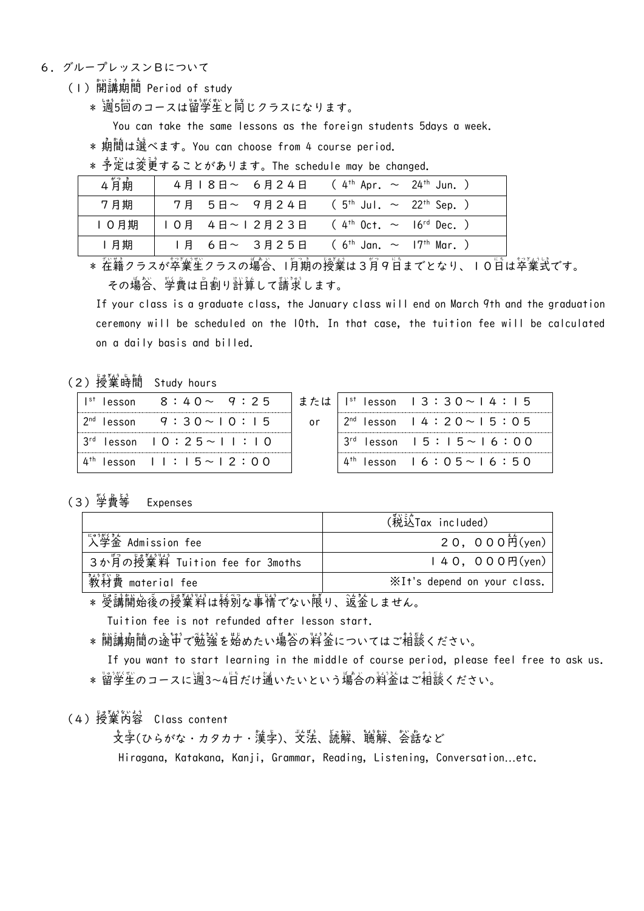- 6.グループレッスンBについて
- (I)開講期間 Period of study
	- \* 週5回のコースは留学生と同じクラスになります。

You can take the same lessons as the foreign students 5days a week.

\* 期 き 間 か ん は選 え ら べます。You can choose from 4 course period.

\* 予定は変更することがあります。The schedule may be changed.

| $  +$ $+$ $+$ $ +$ | スージ・ミサハ スー     | ೆನ್ ಕಾಂಡಿನ ಮಾಡಿ ಅಮಾರ್ಥವಿ ಎಂ | $\sim$                                                |  |
|--------------------|----------------|-----------------------------|-------------------------------------------------------|--|
| 月期                 |                | I月 6日~ 3月25日                | ( $6^{\text{th}}$ Jan. $\sim$ 17 <sup>th</sup> Mar. ) |  |
| 0月期                | 0月 4日~   2月23日 |                             | $(4^{th}$ Oct. $\sim$ 16 <sup>rd</sup> Dec. )         |  |
| 7月期                | 7月 5日~ 9月24日   |                             | $(5^{th}$ Jul. $\sim$ 22 <sup>th</sup> Sep. )         |  |
| 4月期                | 4月18日~ 6月24日   |                             | $(4th$ Apr. $\sim$ 24 <sup>th</sup> Jun. )            |  |

\* 茬籍クラスが卒業生クラスの場合、1月期の授業は3月9日までとなり、10日は卒業式です。 その場答、学費は自割り計算して請求します。

> If your class is a graduate class, the January class will end on March 9th and the graduation ceremony will be scheduled on the 10th. In that case, the tuition fee will be calculated on a daily basis and billed.

## (2)授嶪時簡 Study hours

| $Ist$ lesson                       |  |  | $8:40\sim 9:25$   |  |  | または |  |
|------------------------------------|--|--|-------------------|--|--|-----|--|
| $2nd$ lesson                       |  |  | $9:30 \sim 10:15$ |  |  | 0r  |  |
| $3^{rd}$ lesson $10:25 \sim 11:10$ |  |  |                   |  |  |     |  |
| $4^{\text{th}}$ lesson   : 5~ 2:00 |  |  |                   |  |  |     |  |

| $1^{st}$ lesson $13:30 \sim 14:15$    |  |  |  |  |  |  |
|---------------------------------------|--|--|--|--|--|--|
| $2^{nd}$ lesson $14:20 \sim 15:05$    |  |  |  |  |  |  |
| $3^{rd}$ lesson $15:15 \sim 16:00$    |  |  |  |  |  |  |
| $4^{th}$ lesson   6 : 0 5 ~   6 : 5 0 |  |  |  |  |  |  |

#### (3) 学費等 Expenses

|                                | (税送Tax included)            |
|--------------------------------|-----------------------------|
| 人学釜 Admission fee              | 20, 000 $\hat{P}$ (yen)     |
| 3ゕ月の授業料 Tuition fee for 3moths | 140,000円(yen)               |
| 教材費 material fee               | XIt's depend on your class. |

\* 受講開始後の授業料は特別な事情でない限り、逡釜しません。

Tuition fee is not refunded after lesson start.

\* 開講期間の途中で勉強を始めたい場合の料釜についてはご相談ください。

 If you want to start learning in the middle of course period, please feel free to ask us. \* 留学生のコースに適3~4日だけ蓪いたいという場合の料釜はご相談ください。

## (4)授業芮蓉 Class content

支孛(ひらがな・カタカナ・漢孛)、芠铥、読解、諴解、答話など

Hiragana, Katakana, Kanji, Grammar, Reading, Listening, Conversation…etc.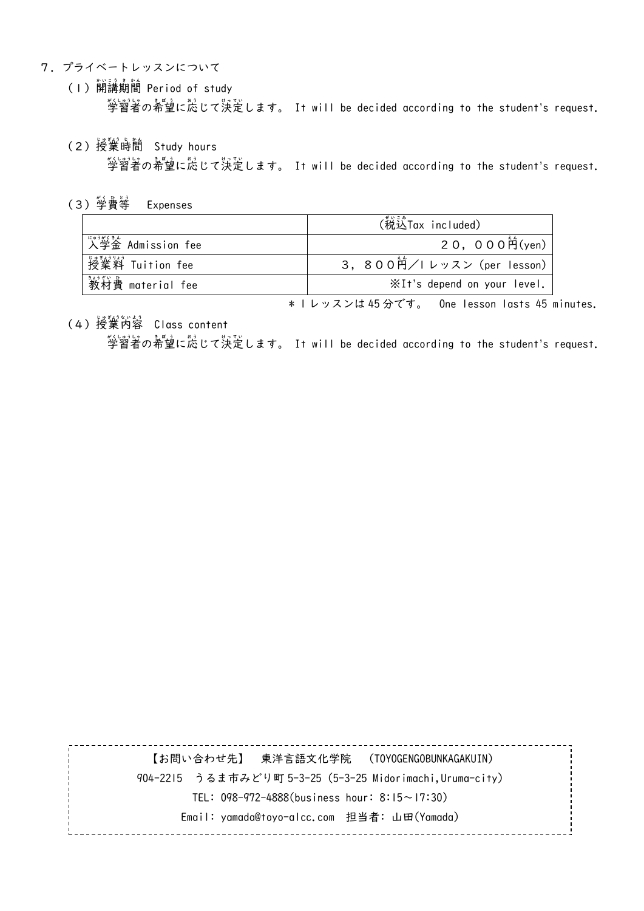- 7.プライベートレッスンについて
- (I)開講期間 Period of study 学習者 がくしゅうしゃ の希望 きぼう に応 お う じて決 け っ 定 て い します。 It will be decided according to the student's request.
	- (2)授嶪時簡 Study hours 学習者 がくしゅうしゃ の希望 きぼう に応 お う じて決 け っ 定 て い します。 It will be decided according to the student's request.
	- (3)学費等 Expenses

|                      | (税送Tax included)            |
|----------------------|-----------------------------|
| 「☆☆☆☆☆ Admission fee | 20, 000 $\hat{P}$ (yen)     |
| 授嶪嵙 Tuition fee      | 3. 800首/I レッスン (per lesson) |
| 数衬費 material fee     | ※It's depend on your level. |

\* 1 レッスンは 45 分です。 One lesson lasts 45 minutes.

(4)授業芮蓉 Class content

学習者 がくしゅうしゃ の希望 きぼう に応 お う じて決 け っ 定 て い します。 It will be decided according to the student's request.

【お問い合わせ先】 東洋言語文化学院 (TOYOGENGOBUNKAGAKUIN) 904-2215 うるま市みどり町 5-3-25 (5-3-25 Midorimachi,Uruma-city) TEL: 098-972-4888(business hour: 8:15~17:30) Email: yamada@toyo-alcc.com 担当者: 山田(Yamada)